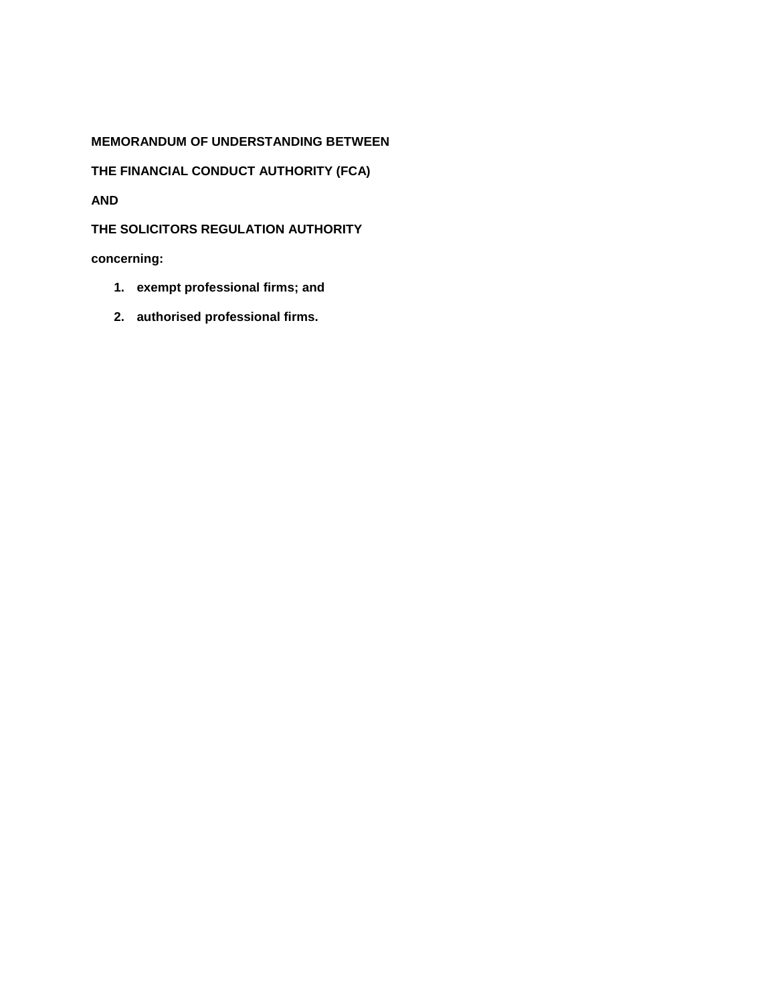# **MEMORANDUM OF UNDERSTANDING BETWEEN**

**THE FINANCIAL CONDUCT AUTHORITY (FCA)**

**AND**

**THE SOLICITORS REGULATION AUTHORITY** 

**concerning:**

- **1. exempt professional firms; and**
- **2. authorised professional firms.**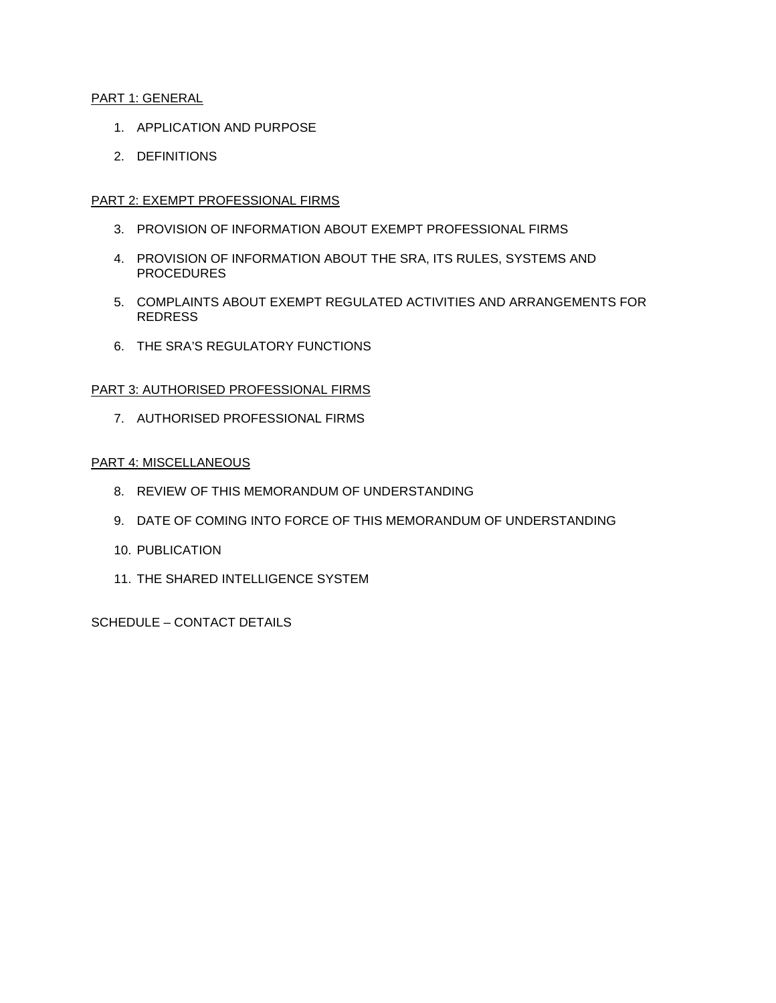### PART 1: GENERAL

- 1. APPLICATION AND PURPOSE
- 2. DEFINITIONS

# PART 2: EXEMPT PROFESSIONAL FIRMS

- 3. PROVISION OF INFORMATION ABOUT EXEMPT PROFESSIONAL FIRMS
- 4. PROVISION OF INFORMATION ABOUT THE SRA, ITS RULES, SYSTEMS AND **PROCEDURES**
- 5. COMPLAINTS ABOUT EXEMPT REGULATED ACTIVITIES AND ARRANGEMENTS FOR REDRESS
- 6. THE SRA'S REGULATORY FUNCTIONS

# PART 3: AUTHORISED PROFESSIONAL FIRMS

7. AUTHORISED PROFESSIONAL FIRMS

### PART 4: MISCELLANEOUS

- 8. REVIEW OF THIS MEMORANDUM OF UNDERSTANDING
- 9. DATE OF COMING INTO FORCE OF THIS MEMORANDUM OF UNDERSTANDING
- 10. PUBLICATION
- 11. THE SHARED INTELLIGENCE SYSTEM

SCHEDULE – CONTACT DETAILS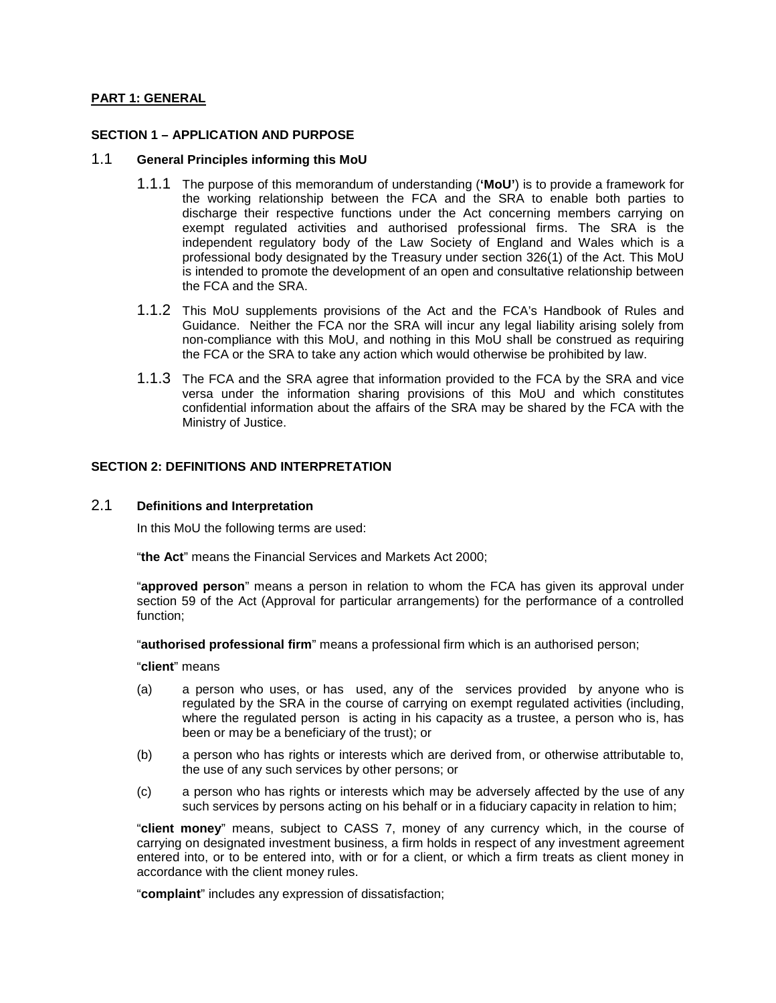### **PART 1: GENERAL**

#### **SECTION 1 – APPLICATION AND PURPOSE**

#### 1.1 **General Principles informing this MoU**

- 1.1.1 The purpose of this memorandum of understanding (**'MoU'**) is to provide a framework for the working relationship between the FCA and the SRA to enable both parties to discharge their respective functions under the Act concerning members carrying on exempt regulated activities and authorised professional firms. The SRA is the independent regulatory body of the Law Society of England and Wales which is a professional body designated by the Treasury under section 326(1) of the Act. This MoU is intended to promote the development of an open and consultative relationship between the FCA and the SRA.
- 1.1.2 This MoU supplements provisions of the Act and the FCA's Handbook of Rules and Guidance. Neither the FCA nor the SRA will incur any legal liability arising solely from non-compliance with this MoU, and nothing in this MoU shall be construed as requiring the FCA or the SRA to take any action which would otherwise be prohibited by law.
- 1.1.3 The FCA and the SRA agree that information provided to the FCA by the SRA and vice versa under the information sharing provisions of this MoU and which constitutes confidential information about the affairs of the SRA may be shared by the FCA with the Ministry of Justice.

### **SECTION 2: DEFINITIONS AND INTERPRETATION**

### 2.1 **Definitions and Interpretation**

In this MoU the following terms are used:

"**the Act**" means the Financial Services and Markets Act 2000;

"**approved person**" means a person in relation to whom the FCA has given its approval under section 59 of the Act (Approval for particular arrangements) for the performance of a controlled function;

"**authorised professional firm**" means a professional firm which is an authorised person;

"**client**" means

- (a) a person who uses, or has used, any of the services provided by anyone who is regulated by the SRA in the course of carrying on exempt regulated activities (including, where the regulated person is acting in his capacity as a trustee, a person who is, has been or may be a beneficiary of the trust); or
- (b) a person who has rights or interests which are derived from, or otherwise attributable to, the use of any such services by other persons; or
- (c) a person who has rights or interests which may be adversely affected by the use of any such services by persons acting on his behalf or in a fiduciary capacity in relation to him;

"**client money**" means, subject to CASS 7, money of any currency which, in the course of carrying on designated investment business, a firm holds in respect of any investment agreement entered into, or to be entered into, with or for a client, or which a firm treats as client money in accordance with the client money rules.

"**complaint**" includes any expression of dissatisfaction;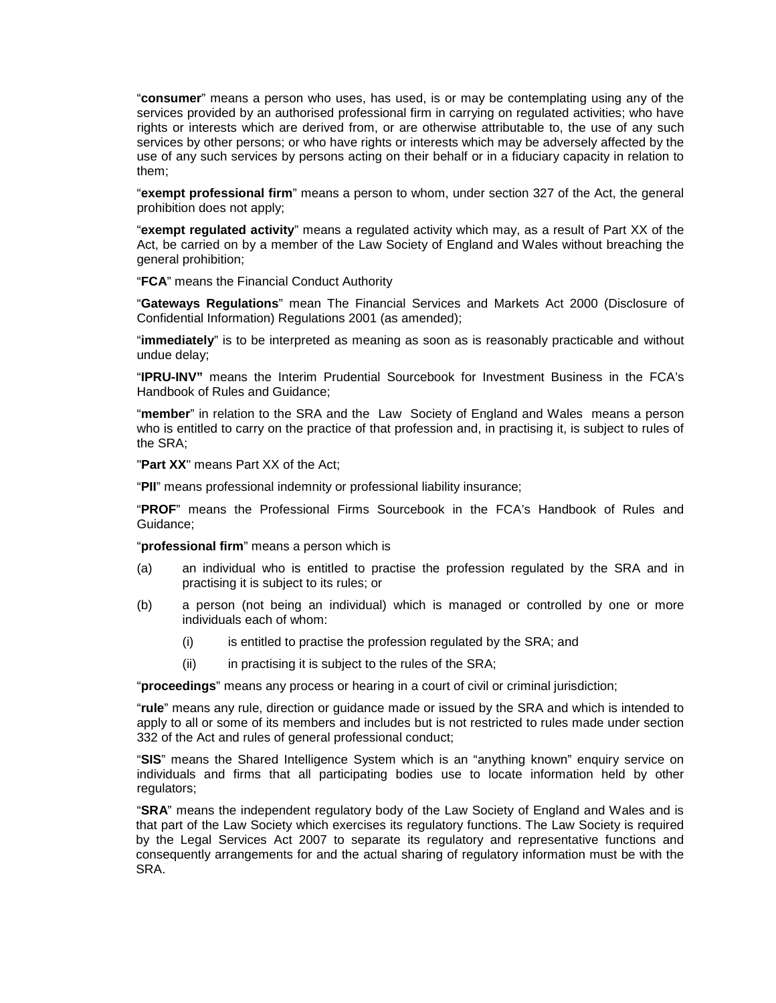"**consumer**" means a person who uses, has used, is or may be contemplating using any of the services provided by an authorised professional firm in carrying on regulated activities; who have rights or interests which are derived from, or are otherwise attributable to, the use of any such services by other persons; or who have rights or interests which may be adversely affected by the use of any such services by persons acting on their behalf or in a fiduciary capacity in relation to them;

"**exempt professional firm**" means a person to whom, under section 327 of the Act, the general prohibition does not apply;

"**exempt regulated activity**" means a regulated activity which may, as a result of Part XX of the Act, be carried on by a member of the Law Society of England and Wales without breaching the general prohibition;

"**FCA**" means the Financial Conduct Authority

"**Gateways Regulations**" mean The Financial Services and Markets Act 2000 (Disclosure of Confidential Information) Regulations 2001 (as amended);

"**immediately**" is to be interpreted as meaning as soon as is reasonably practicable and without undue delay;

"**IPRU-INV"** means the Interim Prudential Sourcebook for Investment Business in the FCA's Handbook of Rules and Guidance;

"**member**" in relation to the SRA and the Law Society of England and Wales means a person who is entitled to carry on the practice of that profession and, in practising it, is subject to rules of the SRA;

"**Part XX**" means Part XX of the Act;

"**PII**" means professional indemnity or professional liability insurance;

"**PROF**" means the Professional Firms Sourcebook in the FCA's Handbook of Rules and Guidance;

"**professional firm**" means a person which is

- (a) an individual who is entitled to practise the profession regulated by the SRA and in practising it is subject to its rules; or
- (b) a person (not being an individual) which is managed or controlled by one or more individuals each of whom:
	- (i) is entitled to practise the profession regulated by the SRA; and
	- (ii) in practising it is subject to the rules of the SRA;

"**proceedings**" means any process or hearing in a court of civil or criminal jurisdiction;

"**rule**" means any rule, direction or guidance made or issued by the SRA and which is intended to apply to all or some of its members and includes but is not restricted to rules made under section 332 of the Act and rules of general professional conduct;

"**SIS**" means the Shared Intelligence System which is an "anything known" enquiry service on individuals and firms that all participating bodies use to locate information held by other regulators;

"**SRA**" means the independent regulatory body of the Law Society of England and Wales and is that part of the Law Society which exercises its regulatory functions. The Law Society is required by the Legal Services Act 2007 to separate its regulatory and representative functions and consequently arrangements for and the actual sharing of regulatory information must be with the SRA.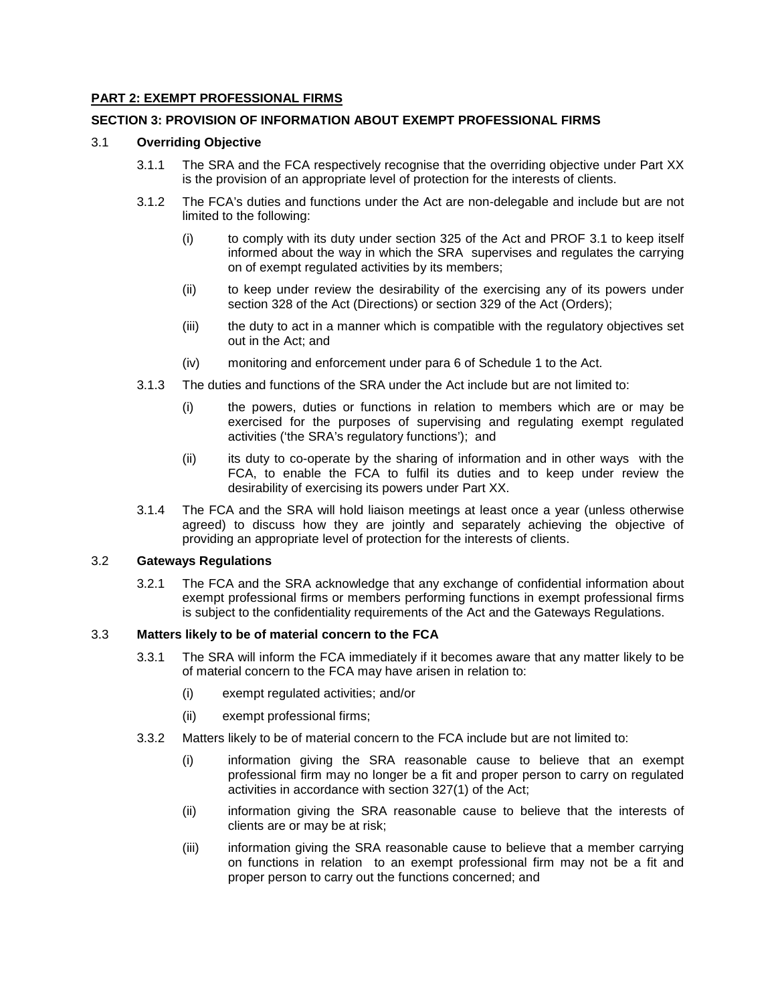### **PART 2: EXEMPT PROFESSIONAL FIRMS**

### **SECTION 3: PROVISION OF INFORMATION ABOUT EXEMPT PROFESSIONAL FIRMS**

#### 3.1 **Overriding Objective**

- 3.1.1 The SRA and the FCA respectively recognise that the overriding objective under Part XX is the provision of an appropriate level of protection for the interests of clients.
- 3.1.2 The FCA's duties and functions under the Act are non-delegable and include but are not limited to the following:
	- (i) to comply with its duty under section 325 of the Act and PROF 3.1 to keep itself informed about the way in which the SRA supervises and regulates the carrying on of exempt regulated activities by its members;
	- (ii) to keep under review the desirability of the exercising any of its powers under section 328 of the Act (Directions) or section 329 of the Act (Orders);
	- (iii) the duty to act in a manner which is compatible with the regulatory objectives set out in the Act; and
	- (iv) monitoring and enforcement under para 6 of Schedule 1 to the Act.
- 3.1.3 The duties and functions of the SRA under the Act include but are not limited to:
	- (i) the powers, duties or functions in relation to members which are or may be exercised for the purposes of supervising and regulating exempt regulated activities ('the SRA's regulatory functions'); and
	- (ii) its duty to co-operate by the sharing of information and in other ways with the FCA, to enable the FCA to fulfil its duties and to keep under review the desirability of exercising its powers under Part XX.
- 3.1.4 The FCA and the SRA will hold liaison meetings at least once a year (unless otherwise agreed) to discuss how they are jointly and separately achieving the objective of providing an appropriate level of protection for the interests of clients.

#### 3.2 **Gateways Regulations**

3.2.1 The FCA and the SRA acknowledge that any exchange of confidential information about exempt professional firms or members performing functions in exempt professional firms is subject to the confidentiality requirements of the Act and the Gateways Regulations.

# 3.3 **Matters likely to be of material concern to the FCA**

- 3.3.1 The SRA will inform the FCA immediately if it becomes aware that any matter likely to be of material concern to the FCA may have arisen in relation to:
	- (i) exempt regulated activities; and/or
	- (ii) exempt professional firms;
- 3.3.2 Matters likely to be of material concern to the FCA include but are not limited to:
	- (i) information giving the SRA reasonable cause to believe that an exempt professional firm may no longer be a fit and proper person to carry on regulated activities in accordance with section 327(1) of the Act;
	- (ii) information giving the SRA reasonable cause to believe that the interests of clients are or may be at risk;
	- (iii) information giving the SRA reasonable cause to believe that a member carrying on functions in relation to an exempt professional firm may not be a fit and proper person to carry out the functions concerned; and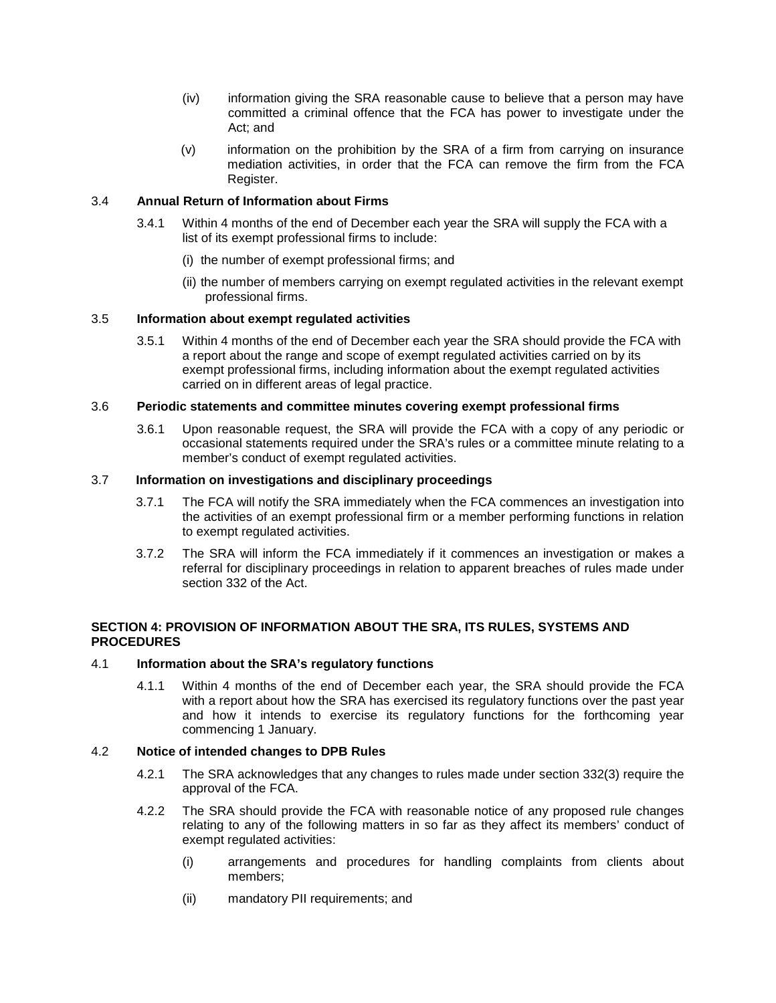- (iv) information giving the SRA reasonable cause to believe that a person may have committed a criminal offence that the FCA has power to investigate under the Act; and
- (v) information on the prohibition by the SRA of a firm from carrying on insurance mediation activities, in order that the FCA can remove the firm from the FCA Register.

#### 3.4 **Annual Return of Information about Firms**

- 3.4.1 Within 4 months of the end of December each year the SRA will supply the FCA with a list of its exempt professional firms to include:
	- (i) the number of exempt professional firms; and
	- (ii) the number of members carrying on exempt regulated activities in the relevant exempt professional firms.

### 3.5 **Information about exempt regulated activities**

3.5.1 Within 4 months of the end of December each year the SRA should provide the FCA with a report about the range and scope of exempt regulated activities carried on by its exempt professional firms, including information about the exempt regulated activities carried on in different areas of legal practice.

### 3.6 **Periodic statements and committee minutes covering exempt professional firms**

3.6.1 Upon reasonable request, the SRA will provide the FCA with a copy of any periodic or occasional statements required under the SRA's rules or a committee minute relating to a member's conduct of exempt regulated activities.

# 3.7 **Information on investigations and disciplinary proceedings**

- 3.7.1 The FCA will notify the SRA immediately when the FCA commences an investigation into the activities of an exempt professional firm or a member performing functions in relation to exempt regulated activities.
- 3.7.2 The SRA will inform the FCA immediately if it commences an investigation or makes a referral for disciplinary proceedings in relation to apparent breaches of rules made under section 332 of the Act.

### **SECTION 4: PROVISION OF INFORMATION ABOUT THE SRA, ITS RULES, SYSTEMS AND PROCEDURES**

#### 4.1 **Information about the SRA's regulatory functions**

4.1.1 Within 4 months of the end of December each year, the SRA should provide the FCA with a report about how the SRA has exercised its regulatory functions over the past year and how it intends to exercise its regulatory functions for the forthcoming year commencing 1 January.

### 4.2 **Notice of intended changes to DPB Rules**

- 4.2.1 The SRA acknowledges that any changes to rules made under section 332(3) require the approval of the FCA.
- 4.2.2 The SRA should provide the FCA with reasonable notice of any proposed rule changes relating to any of the following matters in so far as they affect its members' conduct of exempt regulated activities:
	- (i) arrangements and procedures for handling complaints from clients about members;
	- (ii) mandatory PII requirements; and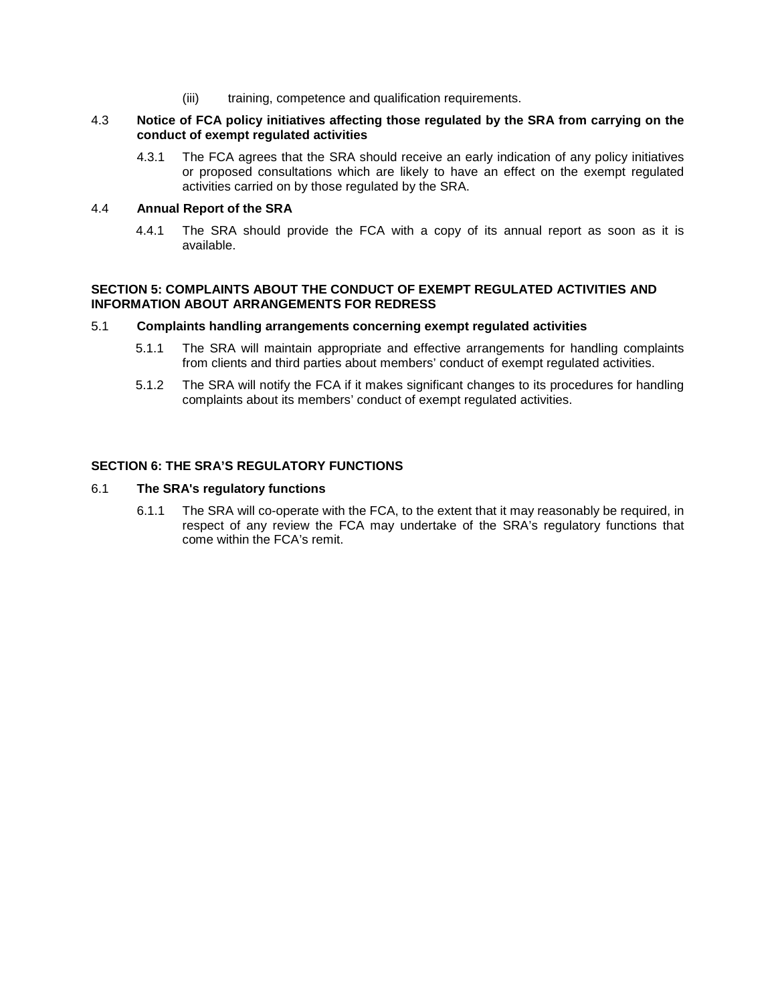(iii) training, competence and qualification requirements.

#### 4.3 **Notice of FCA policy initiatives affecting those regulated by the SRA from carrying on the conduct of exempt regulated activities**

4.3.1 The FCA agrees that the SRA should receive an early indication of any policy initiatives or proposed consultations which are likely to have an effect on the exempt regulated activities carried on by those regulated by the SRA.

# 4.4 **Annual Report of the SRA**

4.4.1 The SRA should provide the FCA with a copy of its annual report as soon as it is available.

#### **SECTION 5: COMPLAINTS ABOUT THE CONDUCT OF EXEMPT REGULATED ACTIVITIES AND INFORMATION ABOUT ARRANGEMENTS FOR REDRESS**

#### 5.1 **Complaints handling arrangements concerning exempt regulated activities**

- 5.1.1 The SRA will maintain appropriate and effective arrangements for handling complaints from clients and third parties about members' conduct of exempt regulated activities.
- 5.1.2 The SRA will notify the FCA if it makes significant changes to its procedures for handling complaints about its members' conduct of exempt regulated activities.

### **SECTION 6: THE SRA'S REGULATORY FUNCTIONS**

#### 6.1 **The SRA's regulatory functions**

6.1.1 The SRA will co-operate with the FCA, to the extent that it may reasonably be required, in respect of any review the FCA may undertake of the SRA's regulatory functions that come within the FCA's remit.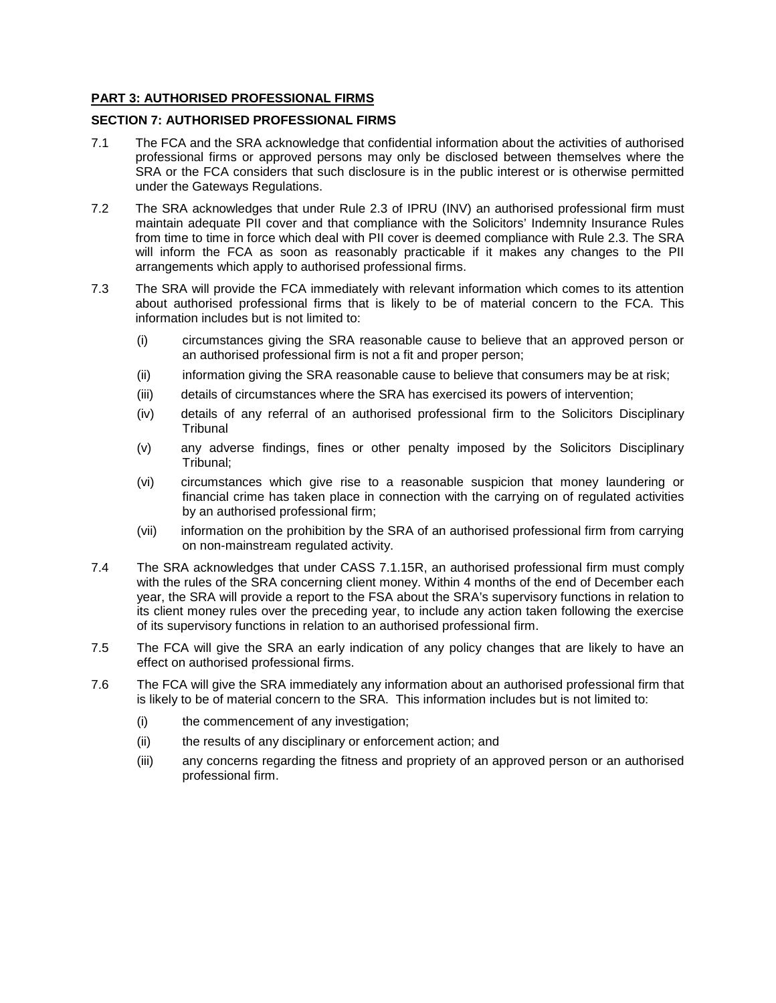### **PART 3: AUTHORISED PROFESSIONAL FIRMS**

#### **SECTION 7: AUTHORISED PROFESSIONAL FIRMS**

- 7.1 The FCA and the SRA acknowledge that confidential information about the activities of authorised professional firms or approved persons may only be disclosed between themselves where the SRA or the FCA considers that such disclosure is in the public interest or is otherwise permitted under the Gateways Regulations.
- 7.2 The SRA acknowledges that under Rule 2.3 of IPRU (INV) an authorised professional firm must maintain adequate PII cover and that compliance with the Solicitors' Indemnity Insurance Rules from time to time in force which deal with PII cover is deemed compliance with Rule 2.3. The SRA will inform the FCA as soon as reasonably practicable if it makes any changes to the PII arrangements which apply to authorised professional firms.
- 7.3 The SRA will provide the FCA immediately with relevant information which comes to its attention about authorised professional firms that is likely to be of material concern to the FCA. This information includes but is not limited to:
	- (i) circumstances giving the SRA reasonable cause to believe that an approved person or an authorised professional firm is not a fit and proper person;
	- (ii) information giving the SRA reasonable cause to believe that consumers may be at risk;
	- (iii) details of circumstances where the SRA has exercised its powers of intervention;
	- (iv) details of any referral of an authorised professional firm to the Solicitors Disciplinary **Tribunal**
	- (v) any adverse findings, fines or other penalty imposed by the Solicitors Disciplinary Tribunal;
	- (vi) circumstances which give rise to a reasonable suspicion that money laundering or financial crime has taken place in connection with the carrying on of regulated activities by an authorised professional firm;
	- (vii) information on the prohibition by the SRA of an authorised professional firm from carrying on non-mainstream regulated activity.
- 7.4 The SRA acknowledges that under CASS 7.1.15R, an authorised professional firm must comply with the rules of the SRA concerning client money. Within 4 months of the end of December each year, the SRA will provide a report to the FSA about the SRA's supervisory functions in relation to its client money rules over the preceding year, to include any action taken following the exercise of its supervisory functions in relation to an authorised professional firm.
- 7.5 The FCA will give the SRA an early indication of any policy changes that are likely to have an effect on authorised professional firms.
- 7.6 The FCA will give the SRA immediately any information about an authorised professional firm that is likely to be of material concern to the SRA. This information includes but is not limited to:
	- (i) the commencement of any investigation;
	- (ii) the results of any disciplinary or enforcement action; and
	- (iii) any concerns regarding the fitness and propriety of an approved person or an authorised professional firm.